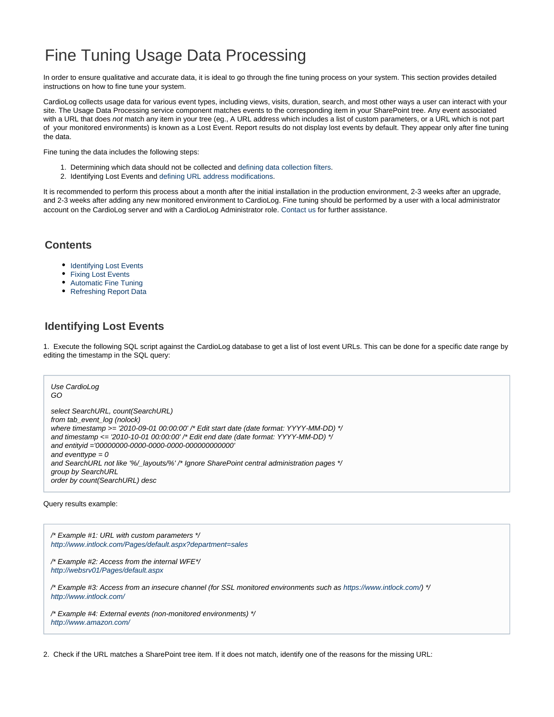# Fine Tuning Usage Data Processing

In order to ensure qualitative and accurate data, it is ideal to go through the fine tuning process on your system. This section provides detailed instructions on how to fine tune your system.

CardioLog collects usage data for various event types, including views, visits, duration, search, and most other ways a user can interact with your site. The Usage Data Processing service component matches events to the corresponding item in your SharePoint tree. Any event associated with a URL that does not match any item in your tree (eg., A URL address which includes a list of custom parameters, or a URL which is not part of your monitored environments) is known as a Lost Event. Report results do not display lost events by default. They appear only after fine tuning the data.

Fine tuning the data includes the following steps:

- 1. Determining which data should not be collected and [defining data collection filters.](https://kb.intlock.com/display/Support/Black+List)
- 2. Identifying Lost Events and [defining URL address modifications.](https://kb.intlock.com/display/Support/URL+Mappings)

It is recommended to perform this process about a month after the initial installation in the production environment, 2-3 weeks after an upgrade, and 2-3 weeks after adding any new monitored environment to CardioLog. Fine tuning should be performed by a user with a local administrator account on the CardioLog server and with a CardioLog Administrator role. [Contact us](http://support.intlock.com/anonymous_requests/new) for further assistance.

### **Contents**

- [Identifying Lost Events](#page-0-0)
- [Fixing Lost Events](#page-1-0)
- [Automatic Fine Tuning](#page-2-0)
- [Refreshing Report Data](#page-2-1)

# <span id="page-0-0"></span>**Identifying Lost Events**

1. Execute the following SQL script against the CardioLog database to get a list of lost event URLs. This can be done for a specific date range by editing the timestamp in the SQL query:

#### Use CardioLog GO

select SearchURL, count(SearchURL) from tab\_event\_log (nolock) where timestamp >= '2010-09-01 00:00:00' /\* Edit start date (date format: YYYY-MM-DD) \*/ and timestamp <= '2010-10-01 00:00:00' /\* Edit end date (date format: YYYY-MM-DD) \*/ and entityid ='00000000-0000-0000-0000-000000000000' and eventtype  $= 0$ and SearchURL not like '%/\_layouts/%' /\* Ignore SharePoint central administration pages \*/ group by SearchURL order by count(SearchURL) desc

Query results example:

/\* Example #1: URL with custom parameters \*/ <http://www.intlock.com/Pages/default.aspx?department=sales>

/\* Example #2: Access from the internal WFE\*/ <http://websrv01/Pages/default.aspx>

/\* Example #3: Access from an insecure channel (for SSL monitored environments such as <https://www.intlock.com/>) \*/ <http://www.intlock.com/>

/\* Example #4: External events (non-monitored environments) \*/ <http://www.amazon.com/>

2. Check if the URL matches a SharePoint tree item. If it does not match, identify one of the reasons for the missing URL: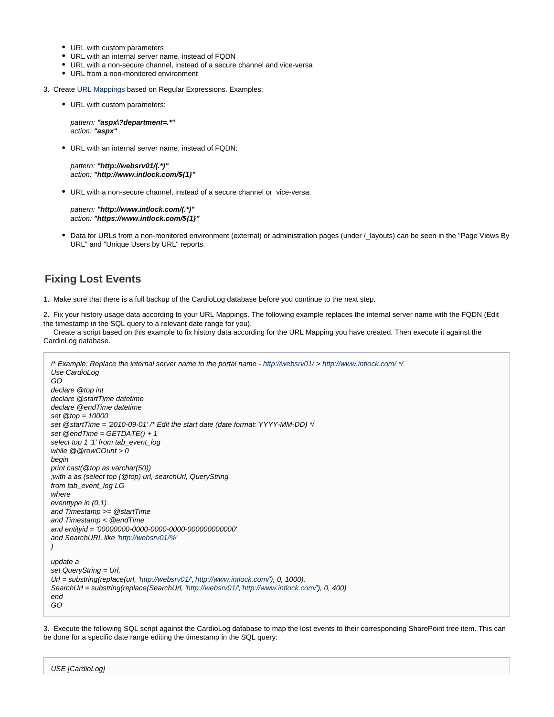- URL with custom parameters
- URL with an internal server name, instead of FQDN
- URL with a non-secure channel, instead of a secure channel and vice-versa
- URL from a non-monitored environment
- 3. Create [URL Mappings](https://kb.intlock.com/display/Support/URL+Mappings) based on Regular Expressions. Examples:
	- URL with custom parameters:

pattern: **"aspx\?department=.\*"** action: **"aspx"**

URL with an internal server name, instead of FQDN:

pattern: **"http://websrv01/(.\*)"** action: **"http://www.intlock.com/\${1}"**

URL with a non-secure channel, instead of a secure channel or vice-versa:

pattern: **"http://www.intlock.com/(.\*)"** action: **"https://www.intlock.com/\${1}"**

Data for URLs from a non-monitored environment (external) or administration pages (under /\_layouts) can be seen in the "Page Views By URL" and "Unique Users by URL" reports.

# <span id="page-1-0"></span>**Fixing Lost Events**

1. Make sure that there is a full backup of the CardioLog database before you continue to the next step.

2. Fix your history usage data according to your URL Mappings. The following example replaces the internal server name with the FQDN (Edit the timestamp in the SQL query to a relevant date range for you).

 Create a script based on this example to fix history data according for the URL Mapping you have created. Then execute it against the CardioLog database.

```
/* Example: Replace the internal server name to the portal name - http://websrv01/ > http://www.intlock.com/ */
Use CardioLog
GO
declare @top int 
declare @startTime datetime 
declare @endTime datetime
set @top = 10000 
set @startTime = '2010-09-01' /* Edit the start date (date format: YYYY-MM-DD) */
set @endTime = GETDATE() + 1select top 1 '1' from tab_event_log
while @@rowCOunt > 0
begin
print cast(@top as varchar(50))
;with a as (select top (@top) url, searchUrl, QueryString
from tab_event_log LG
where 
eventtype in (0,1)
and Timestamp >= @startTime
and Timestamp < @endTime
and entityid = '00000000-0000-0000-0000-000000000000'
and SearchURL like 'http://websrv01/%'
)
update a
set QueryString = Url,
Url = substring(replace(url, 'http://websrv01/','http://www.intlock.com/'), 0, 1000),
'http://websrv01/'http://www.intlock.com/'), 0, 400)
end
GO
```
3. Execute the following SQL script against the CardioLog database to map the lost events to their corresponding SharePoint tree item. This can be done for a specific date range editing the timestamp in the SQL query: